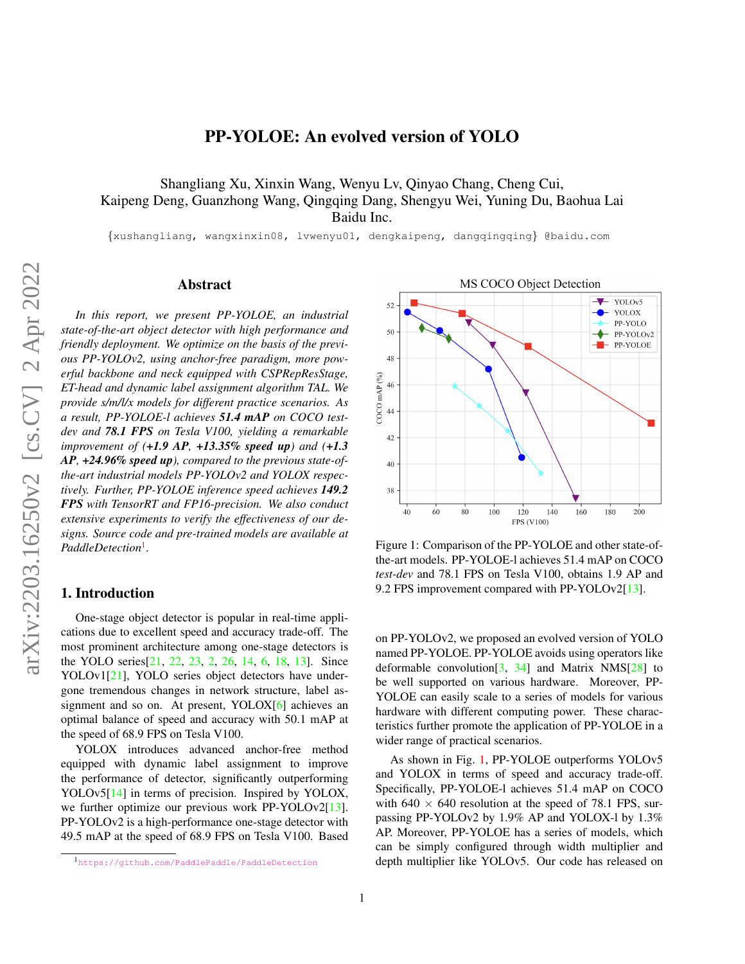<span id="page-0-2"></span>Shangliang Xu, Xinxin Wang, Wenyu Lv, Qinyao Chang, Cheng Cui, Kaipeng Deng, Guanzhong Wang, Qingqing Dang, Shengyu Wei, Yuning Du, Baohua Lai Baidu Inc.

{xushangliang, wangxinxin08, lvwenyu01, dengkaipeng, dangqingqing} @baidu.com

# Abstract

*In this report, we present PP-YOLOE, an industrial state-of-the-art object detector with high performance and friendly deployment. We optimize on the basis of the previous PP-YOLOv2, using anchor-free paradigm, more powerful backbone and neck equipped with CSPRepResStage, ET-head and dynamic label assignment algorithm TAL. We provide s/m/l/x models for different practice scenarios. As a result, PP-YOLOE-l achieves 51.4 mAP on COCO testdev and 78.1 FPS on Tesla V100, yielding a remarkable improvement of (+1.9 AP, +13.35% speed up) and (+1.3 AP, +24.96% speed up), compared to the previous state-ofthe-art industrial models PP-YOLOv2 and YOLOX respectively. Further, PP-YOLOE inference speed achieves 149.2 FPS with TensorRT and FP16-precision. We also conduct extensive experiments to verify the effectiveness of our designs. Source code and pre-trained models are available at PaddleDetection*[1](#page-0-0) *.*

### 1. Introduction

One-stage object detector is popular in real-time applications due to excellent speed and accuracy trade-off. The most prominent architecture among one-stage detectors is the YOLO series[\[21,](#page-5-0) [22,](#page-5-1) [23,](#page-5-2) [2,](#page-4-0) [26,](#page-5-3) [14,](#page-5-4) [6,](#page-4-1) [18,](#page-5-5) [13\]](#page-5-6). Since YOLOv1[\[21\]](#page-5-0), YOLO series object detectors have undergone tremendous changes in network structure, label assignment and so on. At present, YOLOX[\[6\]](#page-4-1) achieves an optimal balance of speed and accuracy with 50.1 mAP at the speed of 68.9 FPS on Tesla V100.

YOLOX introduces advanced anchor-free method equipped with dynamic label assignment to improve the performance of detector, significantly outperforming YOLOv5[\[14\]](#page-5-4) in terms of precision. Inspired by YOLOX, we further optimize our previous work PP-YOLOv2[\[13\]](#page-5-6). PP-YOLOv2 is a high-performance one-stage detector with 49.5 mAP at the speed of 68.9 FPS on Tesla V100. Based

<span id="page-0-1"></span>

Figure 1: Comparison of the PP-YOLOE and other state-ofthe-art models. PP-YOLOE-l achieves 51.4 mAP on COCO *test-dev* and 78.1 FPS on Tesla V100, obtains 1.9 AP and 9.2 FPS improvement compared with PP-YOLOv2[\[13\]](#page-5-6).

on PP-YOLOv2, we proposed an evolved version of YOLO named PP-YOLOE. PP-YOLOE avoids using operators like deformable convolution<sup>[3]</sup>,  $34$ ] and Matrix NMS<sup>[\[28\]](#page-5-7)</sup> to be well supported on various hardware. Moreover, PP-YOLOE can easily scale to a series of models for various hardware with different computing power. These characteristics further promote the application of PP-YOLOE in a wider range of practical scenarios.

As shown in Fig. [1,](#page-0-1) PP-YOLOE outperforms YOLOv5 and YOLOX in terms of speed and accuracy trade-off. Specifically, PP-YOLOE-l achieves 51.4 mAP on COCO with  $640 \times 640$  resolution at the speed of 78.1 FPS, surpassing PP-YOLOv2 by 1.9% AP and YOLOX-l by 1.3% AP. Moreover, PP-YOLOE has a series of models, which can be simply configured through width multiplier and depth multiplier like YOLOv5. Our code has released on

<span id="page-0-0"></span><sup>1</sup><https://github.com/PaddlePaddle/PaddleDetection>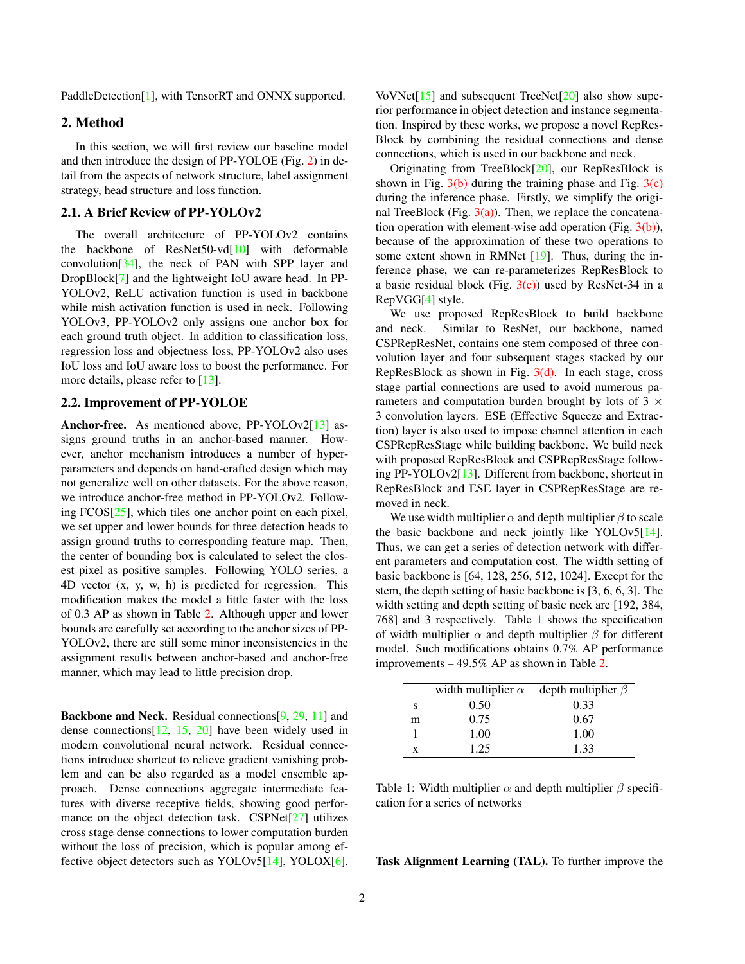<span id="page-1-1"></span>PaddleDetection[\[1\]](#page-4-3), with TensorRT and ONNX supported.

# 2. Method

In this section, we will first review our baseline model and then introduce the design of PP-YOLOE (Fig. [2\)](#page-2-0) in detail from the aspects of network structure, label assignment strategy, head structure and loss function.

#### 2.1. A Brief Review of PP-YOLOv2

The overall architecture of PP-YOLOv2 contains the backbone of ResNet50-vd[\[10\]](#page-5-8) with deformable convolution[\[34\]](#page-6-0), the neck of PAN with SPP layer and DropBlock[\[7\]](#page-5-9) and the lightweight IoU aware head. In PP-YOLOv2, ReLU activation function is used in backbone while mish activation function is used in neck. Following YOLOv3, PP-YOLOv2 only assigns one anchor box for each ground truth object. In addition to classification loss, regression loss and objectness loss, PP-YOLOv2 also uses IoU loss and IoU aware loss to boost the performance. For more details, please refer to [\[13\]](#page-5-6).

### 2.2. Improvement of PP-YOLOE

Anchor-free. As mentioned above, PP-YOLOv2[\[13\]](#page-5-6) assigns ground truths in an anchor-based manner. However, anchor mechanism introduces a number of hyperparameters and depends on hand-crafted design which may not generalize well on other datasets. For the above reason, we introduce anchor-free method in PP-YOLOv2. Following FCOS[\[25\]](#page-5-10), which tiles one anchor point on each pixel, we set upper and lower bounds for three detection heads to assign ground truths to corresponding feature map. Then, the center of bounding box is calculated to select the closest pixel as positive samples. Following YOLO series, a 4D vector (x, y, w, h) is predicted for regression. This modification makes the model a little faster with the loss of 0.3 AP as shown in Table [2.](#page-3-0) Although upper and lower bounds are carefully set according to the anchor sizes of PP-YOLOv2, there are still some minor inconsistencies in the assignment results between anchor-based and anchor-free manner, which may lead to little precision drop.

Backbone and Neck. Residual connections[\[9,](#page-5-11) [29,](#page-5-12) [11\]](#page-5-13) and dense connections[\[12,](#page-5-14) [15,](#page-5-15) [20\]](#page-5-16) have been widely used in modern convolutional neural network. Residual connections introduce shortcut to relieve gradient vanishing problem and can be also regarded as a model ensemble approach. Dense connections aggregate intermediate features with diverse receptive fields, showing good performance on the object detection task. CSPNet[\[27\]](#page-5-17) utilizes cross stage dense connections to lower computation burden without the loss of precision, which is popular among effective object detectors such as YOLOv5[\[14\]](#page-5-4), YOLOX[\[6\]](#page-4-1). VoVNet[\[15\]](#page-5-15) and subsequent TreeNet[\[20\]](#page-5-16) also show superior performance in object detection and instance segmentation. Inspired by these works, we propose a novel RepRes-Block by combining the residual connections and dense connections, which is used in our backbone and neck.

Originating from TreeBlock[\[20\]](#page-5-16), our RepResBlock is shown in Fig.  $3(b)$  during the training phase and Fig.  $3(c)$ during the inference phase. Firstly, we simplify the original TreeBlock (Fig.  $3(a)$ ). Then, we replace the concatenation operation with element-wise add operation (Fig.  $3(b)$ ), because of the approximation of these two operations to some extent shown in RMNet [\[19\]](#page-5-18). Thus, during the inference phase, we can re-parameterizes RepResBlock to a basic residual block (Fig.  $3(c)$ ) used by ResNet-34 in a RepVGG[\[4\]](#page-4-4) style.

We use proposed RepResBlock to build backbone and neck. Similar to ResNet, our backbone, named CSPRepResNet, contains one stem composed of three convolution layer and four subsequent stages stacked by our RepResBlock as shown in Fig.  $3(d)$ . In each stage, cross stage partial connections are used to avoid numerous parameters and computation burden brought by lots of 3  $\times$ 3 convolution layers. ESE (Effective Squeeze and Extraction) layer is also used to impose channel attention in each CSPRepResStage while building backbone. We build neck with proposed RepResBlock and CSPRepResStage following PP-YOLOv2[\[13\]](#page-5-6). Different from backbone, shortcut in RepResBlock and ESE layer in CSPRepResStage are removed in neck.

We use width multiplier  $\alpha$  and depth multiplier  $\beta$  to scale the basic backbone and neck jointly like YOLOv5[\[14\]](#page-5-4). Thus, we can get a series of detection network with different parameters and computation cost. The width setting of basic backbone is [64, 128, 256, 512, 1024]. Except for the stem, the depth setting of basic backbone is [3, 6, 6, 3]. The width setting and depth setting of basic neck are [192, 384, 768] and 3 respectively. Table [1](#page-1-0) shows the specification of width multiplier  $\alpha$  and depth multiplier  $\beta$  for different model. Such modifications obtains 0.7% AP performance improvements – 49.5% AP as shown in Table [2.](#page-3-0)

<span id="page-1-0"></span>

|   | width multiplier $\alpha$ | depth multiplier $\beta$ |
|---|---------------------------|--------------------------|
| S | 0.50                      | 0.33                     |
| m | 0.75                      | 0.67                     |
|   | 1.00                      | 1.00                     |
| X | 1.25                      | 1.33                     |

Table 1: Width multiplier  $\alpha$  and depth multiplier  $\beta$  specification for a series of networks

Task Alignment Learning (TAL). To further improve the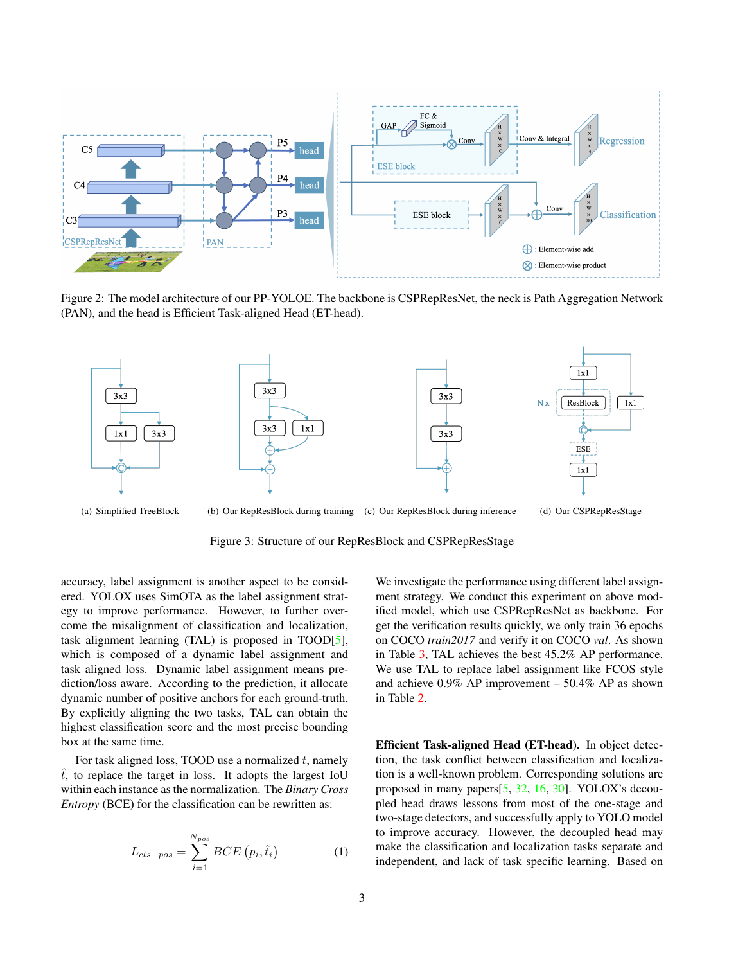<span id="page-2-6"></span><span id="page-2-0"></span>

Figure 2: The model architecture of our PP-YOLOE. The backbone is CSPRepResNet, the neck is Path Aggregation Network (PAN), and the head is Efficient Task-aligned Head (ET-head).

<span id="page-2-3"></span>

<span id="page-2-1"></span>Figure 3: Structure of our RepResBlock and CSPRepResStage

accuracy, label assignment is another aspect to be considered. YOLOX uses SimOTA as the label assignment strategy to improve performance. However, to further overcome the misalignment of classification and localization, task alignment learning (TAL) is proposed in TOOD[\[5\]](#page-4-5), which is composed of a dynamic label assignment and task aligned loss. Dynamic label assignment means prediction/loss aware. According to the prediction, it allocate dynamic number of positive anchors for each ground-truth. By explicitly aligning the two tasks, TAL can obtain the highest classification score and the most precise bounding box at the same time.

For task aligned loss, TOOD use a normalized  $t$ , namely  $\hat{t}$ , to replace the target in loss. It adopts the largest IoU within each instance as the normalization. The *Binary Cross Entropy* (BCE) for the classification can be rewritten as:

<span id="page-2-5"></span>
$$
L_{cls-pos} = \sum_{i=1}^{N_{pos}} BCE(p_i, \hat{t}_i)
$$
 (1)

<span id="page-2-4"></span><span id="page-2-2"></span>We investigate the performance using different label assignment strategy. We conduct this experiment on above modified model, which use CSPRepResNet as backbone. For get the verification results quickly, we only train 36 epochs on COCO *train2017* and verify it on COCO *val*. As shown in Table [3,](#page-3-1) TAL achieves the best 45.2% AP performance. We use TAL to replace label assignment like FCOS style and achieve 0.9% AP improvement – 50.4% AP as shown in Table [2.](#page-3-0)

Efficient Task-aligned Head (ET-head). In object detection, the task conflict between classification and localization is a well-known problem. Corresponding solutions are proposed in many papers[\[5,](#page-4-5) [32,](#page-5-19) [16,](#page-5-20) [30\]](#page-5-21). YOLOX's decoupled head draws lessons from most of the one-stage and two-stage detectors, and successfully apply to YOLO model to improve accuracy. However, the decoupled head may make the classification and localization tasks separate and independent, and lack of task specific learning. Based on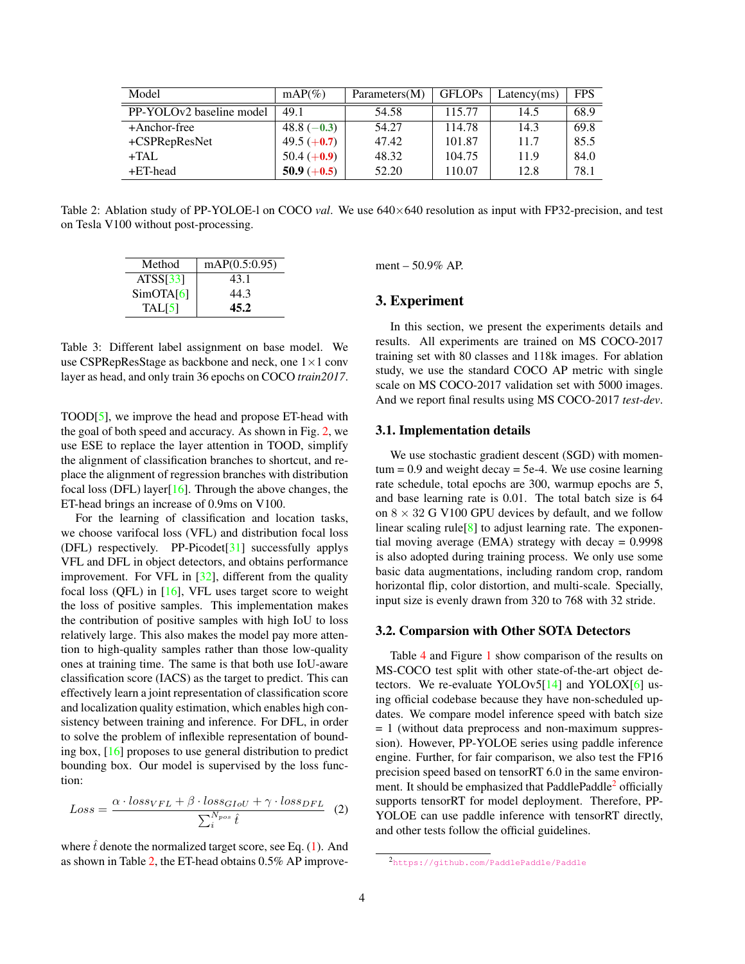<span id="page-3-3"></span><span id="page-3-0"></span>

| Model                    | $mAP(\%)$     | Parameters(M) | <b>GFLOPs</b> | Latency(ms) | <b>FPS</b> |
|--------------------------|---------------|---------------|---------------|-------------|------------|
| PP-YOLOv2 baseline model | 49.1          | 54.58         | 115.77        | 14.5        | 68.9       |
| +Anchor-free             | 48.8 $(-0.3)$ | 54.27         | 114.78        | 14.3        | 69.8       |
| +CSPRepResNet            | 49.5 $(+0.7)$ | 47.42         | 101.87        | 11.7        | 85.5       |
| $+TAL$                   | 50.4 $(+0.9)$ | 48.32         | 104.75        | 11.9        | 84.0       |
| $+ET$ -head              | 50.9 $(+0.5)$ | 52.20         | 110.07        | 12.8        | 78.1       |

<span id="page-3-1"></span>Table 2: Ablation study of PP-YOLOE-l on COCO *val*. We use 640×640 resolution as input with FP32-precision, and test on Tesla V100 without post-processing.

| Method                | mAP(0.5:0.95) |
|-----------------------|---------------|
| ATS <sub>S</sub> [33] | 43.1          |
| SimOTA[6]             | 44.3          |
| TAL[5]                | 45.2          |

Table 3: Different label assignment on base model. We use CSPRepResStage as backbone and neck, one 1×1 conv layer as head, and only train 36 epochs on COCO *train2017*.

TOOD[\[5\]](#page-4-5), we improve the head and propose ET-head with the goal of both speed and accuracy. As shown in Fig. [2,](#page-2-0) we use ESE to replace the layer attention in TOOD, simplify the alignment of classification branches to shortcut, and replace the alignment of regression branches with distribution focal loss (DFL) layer $[16]$ . Through the above changes, the ET-head brings an increase of 0.9ms on V100.

For the learning of classification and location tasks, we choose varifocal loss (VFL) and distribution focal loss (DFL) respectively. PP-Picodet[\[31\]](#page-5-23) successfully applys VFL and DFL in object detectors, and obtains performance improvement. For VFL in [\[32\]](#page-5-19), different from the quality focal loss (QFL) in [\[16\]](#page-5-20), VFL uses target score to weight the loss of positive samples. This implementation makes the contribution of positive samples with high IoU to loss relatively large. This also makes the model pay more attention to high-quality samples rather than those low-quality ones at training time. The same is that both use IoU-aware classification score (IACS) as the target to predict. This can effectively learn a joint representation of classification score and localization quality estimation, which enables high consistency between training and inference. For DFL, in order to solve the problem of inflexible representation of bounding box, [\[16\]](#page-5-20) proposes to use general distribution to predict bounding box. Our model is supervised by the loss function:

$$
Loss = \frac{\alpha \cdot loss_{VFL} + \beta \cdot loss_{GIoU} + \gamma \cdot loss_{DFL}}{\sum_{i}^{N_{pos}} \hat{t}} \tag{2}
$$

where  $t$  denote the normalized target score, see Eq.  $(1)$ . And as shown in Table [2,](#page-3-0) the ET-head obtains 0.5% AP improvement – 50.9% AP.

### 3. Experiment

In this section, we present the experiments details and results. All experiments are trained on MS COCO-2017 training set with 80 classes and 118k images. For ablation study, we use the standard COCO AP metric with single scale on MS COCO-2017 validation set with 5000 images. And we report final results using MS COCO-2017 *test-dev*.

#### 3.1. Implementation details

We use stochastic gradient descent (SGD) with momen $tum = 0.9$  and weight decay = 5e-4. We use cosine learning rate schedule, total epochs are 300, warmup epochs are 5, and base learning rate is 0.01. The total batch size is 64 on  $8 \times 32$  G V100 GPU devices by default, and we follow linear scaling rule<sup>[\[8\]](#page-5-24)</sup> to adjust learning rate. The exponential moving average (EMA) strategy with decay  $= 0.9998$ is also adopted during training process. We only use some basic data augmentations, including random crop, random horizontal flip, color distortion, and multi-scale. Specially, input size is evenly drawn from 320 to 768 with 32 stride.

#### 3.2. Comparsion with Other SOTA Detectors

Table [4](#page-4-6) and Figure [1](#page-0-1) show comparison of the results on MS-COCO test split with other state-of-the-art object detectors. We re-evaluate YOLOv5[\[14\]](#page-5-4) and YOLOX[\[6\]](#page-4-1) using official codebase because they have non-scheduled updates. We compare model inference speed with batch size = 1 (without data preprocess and non-maximum suppression). However, PP-YOLOE series using paddle inference engine. Further, for fair comparison, we also test the FP16 precision speed based on tensorRT 6.0 in the same environ-ment. It should be emphasized that PaddlePaddle<sup>[2](#page-3-2)</sup> officially supports tensorRT for model deployment. Therefore, PP-YOLOE can use paddle inference with tensorRT directly, and other tests follow the official guidelines.

<span id="page-3-2"></span><sup>2</sup><https://github.com/PaddlePaddle/Paddle>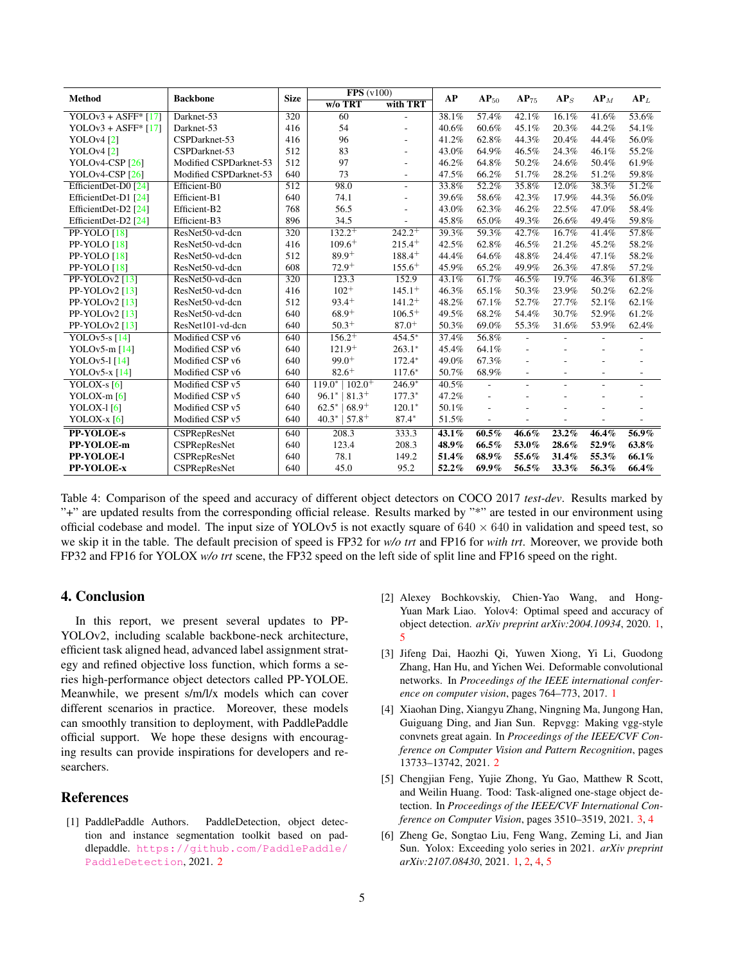<span id="page-4-7"></span><span id="page-4-6"></span>

| Method                                  | <b>Backbone</b>        | <b>Size</b>      | FPS(v100)               |                | AP    | $AP_{50}$                | $AP_{75}$                | AP <sub>S</sub>          | AP <sub>M</sub>   | AP <sub>L</sub>          |
|-----------------------------------------|------------------------|------------------|-------------------------|----------------|-------|--------------------------|--------------------------|--------------------------|-------------------|--------------------------|
|                                         |                        |                  | $W/O$ TRT               | with TRT       |       |                          |                          |                          |                   |                          |
| YOLOv3 + ASFF $*$ [17]                  | Darknet-53             | 320              | 60                      | $\overline{a}$ | 38.1% | 57.4%                    | 42.1%                    | 16.1%                    | 41.6%             | 53.6%                    |
| YOLOv3 + ASFF $*$ [17]                  | Darknet-53             | 416              | 54                      |                | 40.6% | 60.6%                    | 45.1%                    | 20.3%                    | 44.2%             | 54.1%                    |
| <b>YOLOv4</b> [2]                       | CSPDarknet-53          | 416              | 96                      |                | 41.2% | 62.8%                    | 44.3%                    | 20.4%                    | 44.4%             | 56.0%                    |
| YOLOv4 <sup>[2]</sup>                   | CSPDarknet-53          | 512              | 83                      |                | 43.0% | 64.9%                    | 46.5%                    | 24.3%                    | 46.1%             | 55.2%                    |
| YOLOv4-CSP $[26]$                       | Modified CSPDarknet-53 | 512              | 97                      |                | 46.2% | 64.8%                    | 50.2%                    | 24.6%                    | 50.4%             | 61.9%                    |
| YOLOv <sub>4</sub> -CSP <sub>[26]</sub> | Modified CSPDarknet-53 | 640              | 73                      | ٠              | 47.5% | 66.2%                    | 51.7%                    | 28.2%                    | 51.2%             | 59.8%                    |
| EfficientDet-D0 [24]                    | Efficient-B0           | 512              | 98.0                    |                | 33.8% | 52.2%                    | 35.8%                    | 12.0%                    | 38.3%             | 51.2%                    |
| EfficientDet-D1 [24]                    | Efficient-B1           | 640              | 74.1                    |                | 39.6% | 58.6%                    | 42.3%                    | 17.9%                    | 44.3%             | 56.0%                    |
| EfficientDet-D2 [24]                    | Efficient-B2           | 768              | 56.5                    |                | 43.0% | 62.3%                    | 46.2%                    | 22.5%                    | 47.0%             | 58.4%                    |
| EfficientDet-D2 [24]                    | Efficient-B3           | 896              | 34.5                    |                | 45.8% | 65.0%                    | 49.3%                    | 26.6%                    | 49.4%             | 59.8%                    |
| PP-YOLO [18]                            | ResNet50-vd-dcn        | 320              | $132.2^{+}$             | $242.2^{+}$    | 39.3% | 59.3%                    | 42.7%                    | 16.7%                    | 41.4%             | 57.8%                    |
| PP-YOLO [18]                            | ResNet50-vd-dcn        | 416              | $109.6^{+}$             | $215.4^{+}$    | 42.5% | 62.8%                    | 46.5%                    | 21.2%                    | 45.2%             | 58.2%                    |
| PP-YOLO [18]                            | ResNet50-vd-dcn        | 512              | $89.9^{+}$              | $188.4^{+}$    | 44.4% | 64.6%                    | 48.8%                    | 24.4%                    | 47.1%             | 58.2%                    |
| PP-YOLO [18]                            | ResNet50-vd-dcn        | 608              | $72.9+$                 | $155.6^{+}$    | 45.9% | 65.2%                    | 49.9%                    | 26.3%                    | 47.8%             | 57.2%                    |
| PP-YOLOv2 $[13]$                        | ResNet50-vd-dcn        | $\overline{320}$ | 123.3                   | 152.9          | 43.1% | 61.7%                    | 46.5%                    | 19.7%                    | 46.3%             | 61.8%                    |
| PP-YOLOv2 $[13]$                        | ResNet50-vd-dcn        | 416              | $102+$                  | $145.1^{+}$    | 46.3% | 65.1%                    | 50.3%                    | 23.9%                    | 50.2%             | 62.2%                    |
| PP-YOLOv2 $[13]$                        | ResNet50-vd-dcn        | 512              | $93.4^{+}$              | $141.2^{+}$    | 48.2% | 67.1%                    | 52.7%                    | 27.7%                    | 52.1%             | 62.1%                    |
| $PP-YOLOv2$ [13]                        | ResNet50-vd-dcn        | 640              | $68.9+$                 | $106.5+$       | 49.5% | 68.2%                    | 54.4%                    | 30.7%                    | 52.9%             | 61.2%                    |
| PP-YOLOv2 $[13]$                        | ResNet101-vd-dcn       | 640              | $50.3^{+}$              | $87.0^{+}$     | 50.3% | 69.0%                    | 55.3%                    | 31.6%                    | 53.9%             | 62.4%                    |
| YOLOv5-s $[14]$                         | Modified CSP v6        | 640              | $156.2^{+}$             | $454.5*$       | 37.4% | 56.8%                    | ÷,                       |                          |                   |                          |
| YOLOv5-m $[14]$                         | Modified CSP v6        | 640              | $121.9+$                | $263.1*$       | 45.4% | 64.1%                    | ÷,                       |                          |                   |                          |
| YOLOv5-1 [14]                           | Modified CSP v6        | 640              | $99.0^{+}$              | $172.4*$       | 49.0% | 67.3%                    | ÷                        |                          |                   |                          |
| YOLOv5- $x$ <sup>[14]</sup>             | Modified CSP v6        | 640              | $82.6^{+}$              | $117.6*$       | 50.7% | 68.9%                    | $\overline{\phantom{m}}$ | $\overline{\phantom{a}}$ | $\qquad \qquad -$ | $\overline{\phantom{a}}$ |
| YOLOX-s $[6]$                           | Modified CSP v5        | 640              | $119.0*$<br>$102.0^{+}$ | $246.9*$       | 40.5% | $\overline{\phantom{a}}$ |                          |                          |                   | ٠                        |
| YOLOX-m $[6]$                           | Modified CSP v5        | 640              | $96.1*$<br>$81.3^{+}$   | $177.3*$       | 47.2% | $\overline{a}$           |                          |                          |                   |                          |
| YOLOX- $1[6]$                           | Modified CSP v5        | 640              | $62.5*$<br>$68.9^{+}$   | $120.1*$       | 50.1% |                          |                          |                          |                   |                          |
| YOLOX- $x$ [6]                          | Modified CSP v5        | 640              | $40.3*$<br>$57.8+$      | $87.4*$        | 51.5% |                          |                          |                          |                   |                          |
| <b>PP-YOLOE-s</b>                       | <b>CSPRepResNet</b>    | 640              | 208.3                   | 333.3          | 43.1% | $60.5\%$                 | $46.6\%$                 | $23.2\%$                 | $46.4\%$          | $56.9\%$                 |
| PP-YOLOE-m                              | <b>CSPRepResNet</b>    | 640              | 123.4                   | 208.3          | 48.9% | 66.5%                    | 53.0%                    | 28.6%                    | 52.9%             | 63.8%                    |
| PP-YOLOE-I                              | <b>CSPRepResNet</b>    | 640              | 78.1                    | 149.2          | 51.4% | 68.9%                    | 55.6%                    | 31.4%                    | 55.3%             | 66.1%                    |
| PP-YOLOE-x                              | <b>CSPRepResNet</b>    | 640              | 45.0                    | 95.2           | 52.2% | $69.9\%$                 | 56.5%                    | 33.3%                    | 56.3%             | 66.4%                    |

Table 4: Comparison of the speed and accuracy of different object detectors on COCO 2017 *test-dev*. Results marked by "+" are updated results from the corresponding official release. Results marked by "\*" are tested in our environment using official codebase and model. The input size of YOLOv5 is not exactly square of  $640 \times 640$  in validation and speed test, so we skip it in the table. The default precision of speed is FP32 for *w/o trt* and FP16 for *with trt*. Moreover, we provide both FP32 and FP16 for YOLOX *w/o trt* scene, the FP32 speed on the left side of split line and FP16 speed on the right.

# 4. Conclusion

In this report, we present several updates to PP-YOLOv2, including scalable backbone-neck architecture, efficient task aligned head, advanced label assignment strategy and refined objective loss function, which forms a series high-performance object detectors called PP-YOLOE. Meanwhile, we present s/m/l/x models which can cover different scenarios in practice. Moreover, these models can smoothly transition to deployment, with PaddlePaddle official support. We hope these designs with encouraging results can provide inspirations for developers and researchers.

## References

<span id="page-4-3"></span>[1] PaddlePaddle Authors. PaddleDetection, object detection and instance segmentation toolkit based on paddlepaddle. [https://github.com/PaddlePaddle/](https://github.com/PaddlePaddle/PaddleDetection) [PaddleDetection](https://github.com/PaddlePaddle/PaddleDetection), 2021. [2](#page-1-1)

- <span id="page-4-0"></span>[2] Alexey Bochkovskiy, Chien-Yao Wang, and Hong-Yuan Mark Liao. Yolov4: Optimal speed and accuracy of object detection. *arXiv preprint arXiv:2004.10934*, 2020. [1,](#page-0-2) [5](#page-4-7)
- <span id="page-4-2"></span>[3] Jifeng Dai, Haozhi Qi, Yuwen Xiong, Yi Li, Guodong Zhang, Han Hu, and Yichen Wei. Deformable convolutional networks. In *Proceedings of the IEEE international conference on computer vision*, pages 764–773, 2017. [1](#page-0-2)
- <span id="page-4-4"></span>[4] Xiaohan Ding, Xiangyu Zhang, Ningning Ma, Jungong Han, Guiguang Ding, and Jian Sun. Repvgg: Making vgg-style convnets great again. In *Proceedings of the IEEE/CVF Conference on Computer Vision and Pattern Recognition*, pages 13733–13742, 2021. [2](#page-1-1)
- <span id="page-4-5"></span>[5] Chengjian Feng, Yujie Zhong, Yu Gao, Matthew R Scott, and Weilin Huang. Tood: Task-aligned one-stage object detection. In *Proceedings of the IEEE/CVF International Conference on Computer Vision*, pages 3510–3519, 2021. [3,](#page-2-6) [4](#page-3-3)
- <span id="page-4-1"></span>[6] Zheng Ge, Songtao Liu, Feng Wang, Zeming Li, and Jian Sun. Yolox: Exceeding yolo series in 2021. *arXiv preprint arXiv:2107.08430*, 2021. [1,](#page-0-2) [2,](#page-1-1) [4,](#page-3-3) [5](#page-4-7)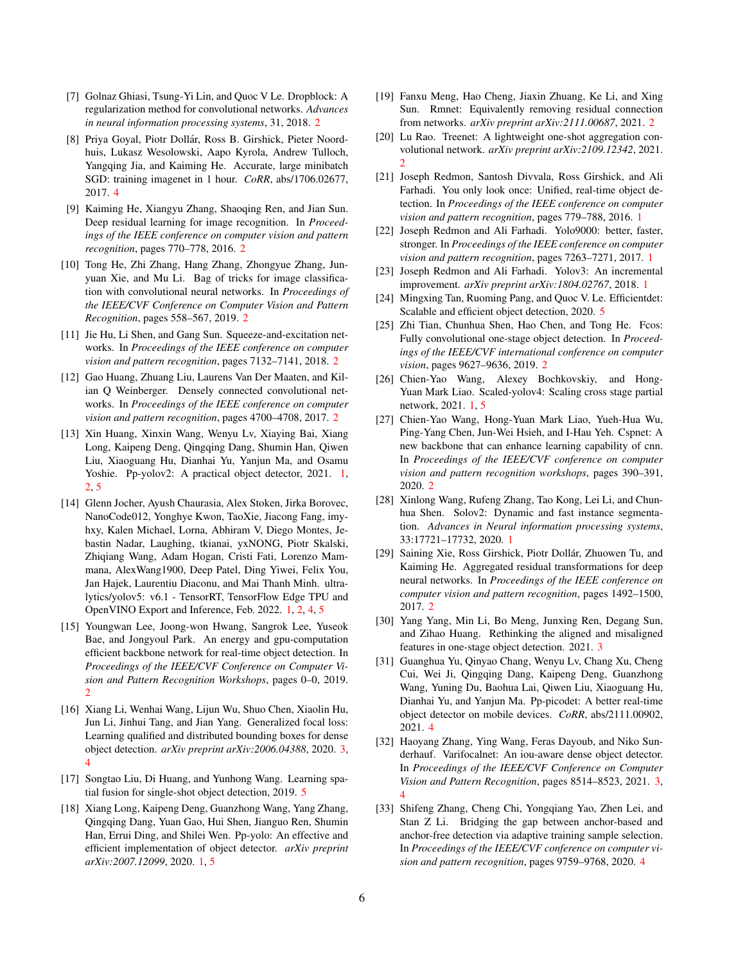- <span id="page-5-9"></span>[7] Golnaz Ghiasi, Tsung-Yi Lin, and Quoc V Le. Dropblock: A regularization method for convolutional networks. *Advances in neural information processing systems*, 31, 2018. [2](#page-1-1)
- <span id="page-5-24"></span>[8] Priya Goyal, Piotr Dollár, Ross B. Girshick, Pieter Noordhuis, Lukasz Wesolowski, Aapo Kyrola, Andrew Tulloch, Yangqing Jia, and Kaiming He. Accurate, large minibatch SGD: training imagenet in 1 hour. *CoRR*, abs/1706.02677, 2017. [4](#page-3-3)
- <span id="page-5-11"></span>[9] Kaiming He, Xiangyu Zhang, Shaoqing Ren, and Jian Sun. Deep residual learning for image recognition. In *Proceedings of the IEEE conference on computer vision and pattern recognition*, pages 770–778, 2016. [2](#page-1-1)
- <span id="page-5-8"></span>[10] Tong He, Zhi Zhang, Hang Zhang, Zhongyue Zhang, Junyuan Xie, and Mu Li. Bag of tricks for image classification with convolutional neural networks. In *Proceedings of the IEEE/CVF Conference on Computer Vision and Pattern Recognition*, pages 558–567, 2019. [2](#page-1-1)
- <span id="page-5-13"></span>[11] Jie Hu, Li Shen, and Gang Sun. Squeeze-and-excitation networks. In *Proceedings of the IEEE conference on computer vision and pattern recognition*, pages 7132–7141, 2018. [2](#page-1-1)
- <span id="page-5-14"></span>[12] Gao Huang, Zhuang Liu, Laurens Van Der Maaten, and Kilian Q Weinberger. Densely connected convolutional networks. In *Proceedings of the IEEE conference on computer vision and pattern recognition*, pages 4700–4708, 2017. [2](#page-1-1)
- <span id="page-5-6"></span>[13] Xin Huang, Xinxin Wang, Wenyu Lv, Xiaying Bai, Xiang Long, Kaipeng Deng, Qingqing Dang, Shumin Han, Qiwen Liu, Xiaoguang Hu, Dianhai Yu, Yanjun Ma, and Osamu Yoshie. Pp-yolov2: A practical object detector, 2021. [1,](#page-0-2) [2,](#page-1-1) [5](#page-4-7)
- <span id="page-5-4"></span>[14] Glenn Jocher, Ayush Chaurasia, Alex Stoken, Jirka Borovec, NanoCode012, Yonghye Kwon, TaoXie, Jiacong Fang, imyhxy, Kalen Michael, Lorna, Abhiram V, Diego Montes, Jebastin Nadar, Laughing, tkianai, yxNONG, Piotr Skalski, Zhiqiang Wang, Adam Hogan, Cristi Fati, Lorenzo Mammana, AlexWang1900, Deep Patel, Ding Yiwei, Felix You, Jan Hajek, Laurentiu Diaconu, and Mai Thanh Minh. ultralytics/yolov5: v6.1 - TensorRT, TensorFlow Edge TPU and OpenVINO Export and Inference, Feb. 2022. [1,](#page-0-2) [2,](#page-1-1) [4,](#page-3-3) [5](#page-4-7)
- <span id="page-5-15"></span>[15] Youngwan Lee, Joong-won Hwang, Sangrok Lee, Yuseok Bae, and Jongyoul Park. An energy and gpu-computation efficient backbone network for real-time object detection. In *Proceedings of the IEEE/CVF Conference on Computer Vision and Pattern Recognition Workshops*, pages 0–0, 2019. [2](#page-1-1)
- <span id="page-5-20"></span>[16] Xiang Li, Wenhai Wang, Lijun Wu, Shuo Chen, Xiaolin Hu, Jun Li, Jinhui Tang, and Jian Yang. Generalized focal loss: Learning qualified and distributed bounding boxes for dense object detection. *arXiv preprint arXiv:2006.04388*, 2020. [3,](#page-2-6) [4](#page-3-3)
- <span id="page-5-25"></span>[17] Songtao Liu, Di Huang, and Yunhong Wang. Learning spatial fusion for single-shot object detection, 2019. [5](#page-4-7)
- <span id="page-5-5"></span>[18] Xiang Long, Kaipeng Deng, Guanzhong Wang, Yang Zhang, Qingqing Dang, Yuan Gao, Hui Shen, Jianguo Ren, Shumin Han, Errui Ding, and Shilei Wen. Pp-yolo: An effective and efficient implementation of object detector. *arXiv preprint arXiv:2007.12099*, 2020. [1,](#page-0-2) [5](#page-4-7)
- <span id="page-5-18"></span>[19] Fanxu Meng, Hao Cheng, Jiaxin Zhuang, Ke Li, and Xing Sun. Rmnet: Equivalently removing residual connection from networks. *arXiv preprint arXiv:2111.00687*, 2021. [2](#page-1-1)
- <span id="page-5-16"></span>[20] Lu Rao. Treenet: A lightweight one-shot aggregation convolutional network. *arXiv preprint arXiv:2109.12342*, 2021. [2](#page-1-1)
- <span id="page-5-0"></span>[21] Joseph Redmon, Santosh Divvala, Ross Girshick, and Ali Farhadi. You only look once: Unified, real-time object detection. In *Proceedings of the IEEE conference on computer vision and pattern recognition*, pages 779–788, 2016. [1](#page-0-2)
- <span id="page-5-1"></span>[22] Joseph Redmon and Ali Farhadi. Yolo9000: better, faster, stronger. In *Proceedings of the IEEE conference on computer vision and pattern recognition*, pages 7263–7271, 2017. [1](#page-0-2)
- <span id="page-5-2"></span>[23] Joseph Redmon and Ali Farhadi. Yolov3: An incremental improvement. *arXiv preprint arXiv:1804.02767*, 2018. [1](#page-0-2)
- <span id="page-5-26"></span>[24] Mingxing Tan, Ruoming Pang, and Quoc V. Le. Efficientdet: Scalable and efficient object detection, 2020. [5](#page-4-7)
- <span id="page-5-10"></span>[25] Zhi Tian, Chunhua Shen, Hao Chen, and Tong He. Fcos: Fully convolutional one-stage object detection. In *Proceedings of the IEEE/CVF international conference on computer vision*, pages 9627–9636, 2019. [2](#page-1-1)
- <span id="page-5-3"></span>[26] Chien-Yao Wang, Alexey Bochkovskiy, and Hong-Yuan Mark Liao. Scaled-yolov4: Scaling cross stage partial network, 2021. [1,](#page-0-2) [5](#page-4-7)
- <span id="page-5-17"></span>[27] Chien-Yao Wang, Hong-Yuan Mark Liao, Yueh-Hua Wu, Ping-Yang Chen, Jun-Wei Hsieh, and I-Hau Yeh. Cspnet: A new backbone that can enhance learning capability of cnn. In *Proceedings of the IEEE/CVF conference on computer vision and pattern recognition workshops*, pages 390–391, 2020. [2](#page-1-1)
- <span id="page-5-7"></span>[28] Xinlong Wang, Rufeng Zhang, Tao Kong, Lei Li, and Chunhua Shen. Solov2: Dynamic and fast instance segmentation. *Advances in Neural information processing systems*, 33:17721–17732, 2020. [1](#page-0-2)
- <span id="page-5-12"></span>[29] Saining Xie, Ross Girshick, Piotr Dollár, Zhuowen Tu, and Kaiming He. Aggregated residual transformations for deep neural networks. In *Proceedings of the IEEE conference on computer vision and pattern recognition*, pages 1492–1500, 2017. [2](#page-1-1)
- <span id="page-5-21"></span>[30] Yang Yang, Min Li, Bo Meng, Junxing Ren, Degang Sun, and Zihao Huang. Rethinking the aligned and misaligned features in one-stage object detection. 2021. [3](#page-2-6)
- <span id="page-5-23"></span>[31] Guanghua Yu, Qinyao Chang, Wenyu Lv, Chang Xu, Cheng Cui, Wei Ji, Qingqing Dang, Kaipeng Deng, Guanzhong Wang, Yuning Du, Baohua Lai, Qiwen Liu, Xiaoguang Hu, Dianhai Yu, and Yanjun Ma. Pp-picodet: A better real-time object detector on mobile devices. *CoRR*, abs/2111.00902, 2021. [4](#page-3-3)
- <span id="page-5-19"></span>[32] Haoyang Zhang, Ying Wang, Feras Dayoub, and Niko Sunderhauf. Varifocalnet: An iou-aware dense object detector. In *Proceedings of the IEEE/CVF Conference on Computer Vision and Pattern Recognition*, pages 8514–8523, 2021. [3,](#page-2-6) [4](#page-3-3)
- <span id="page-5-22"></span>[33] Shifeng Zhang, Cheng Chi, Yongqiang Yao, Zhen Lei, and Stan Z Li. Bridging the gap between anchor-based and anchor-free detection via adaptive training sample selection. In *Proceedings of the IEEE/CVF conference on computer vision and pattern recognition*, pages 9759–9768, 2020. [4](#page-3-3)